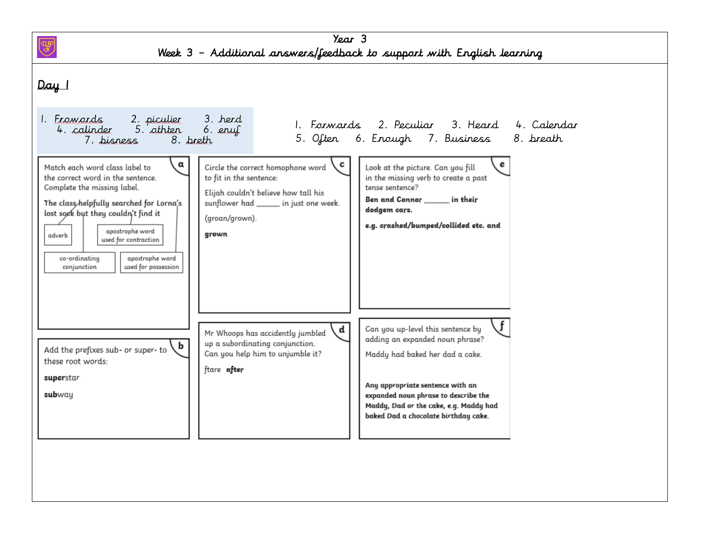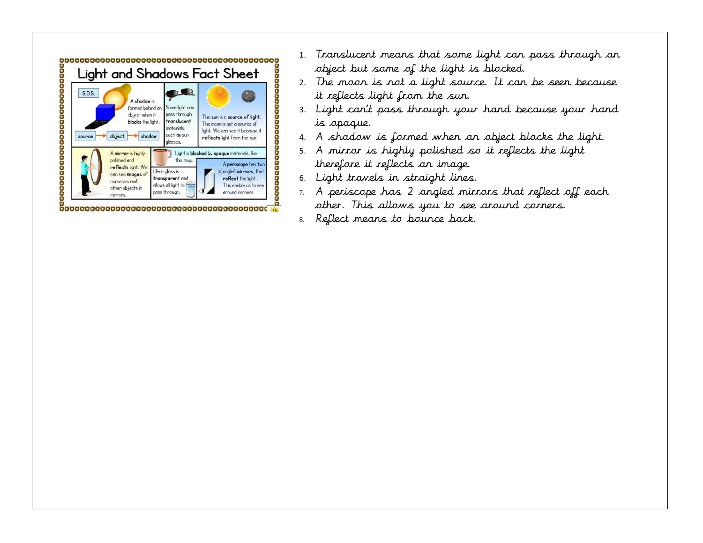

- 1. Translucent means that some light can pass through an object but some of the light is blocked.
- 2. The moon is not a light source. It can be seen because it reflects light from the sun.
- 3. Light can't pass through your hand because your hand is opaque.
- 4. A shadow is formed when an object blocks the light.
- 5. A mirror is highly polished so it reflects the light therefore it reflects an image.
- 6. Light travels in straight lines.
- 7. A periscope has 2 angled mirrors that reflect off each other. This allows you to see around corners.
- 8. Reflect means to bounce back.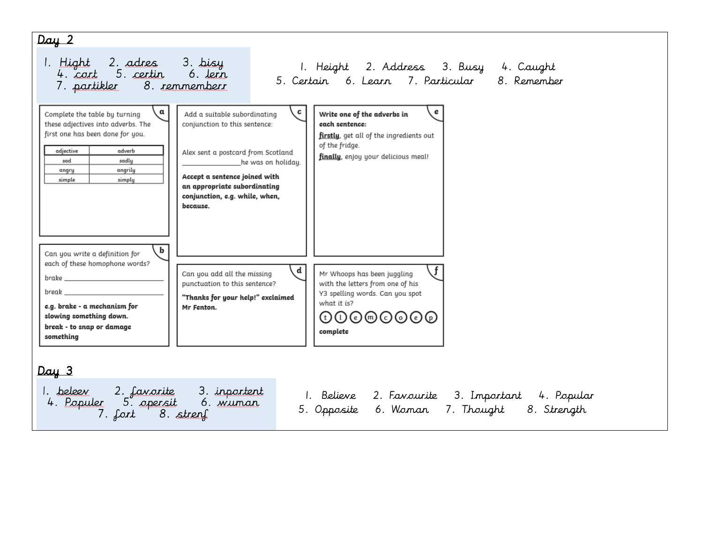## Day 2

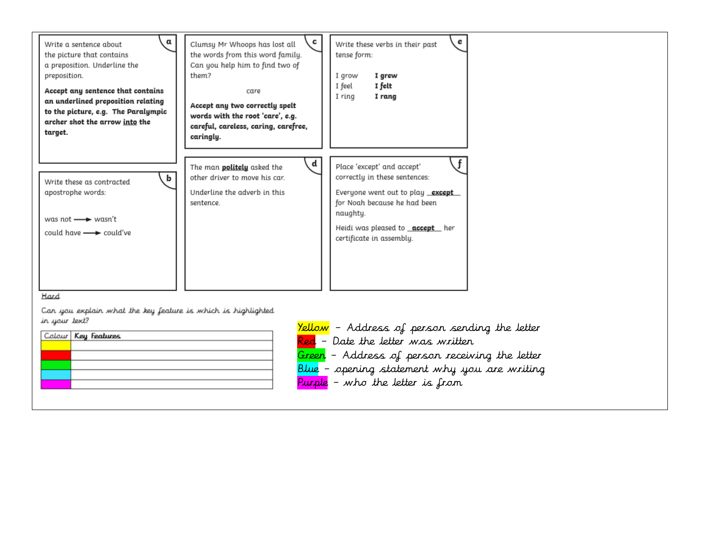

| Colour Key Features |
|---------------------|
|                     |
|                     |
|                     |
|                     |
|                     |

Yellow - Address of person sending the letter Red - Date the letter was written Green – Address of person receiving the letter Blue – opening statement why you are writing Purple – who the letter is from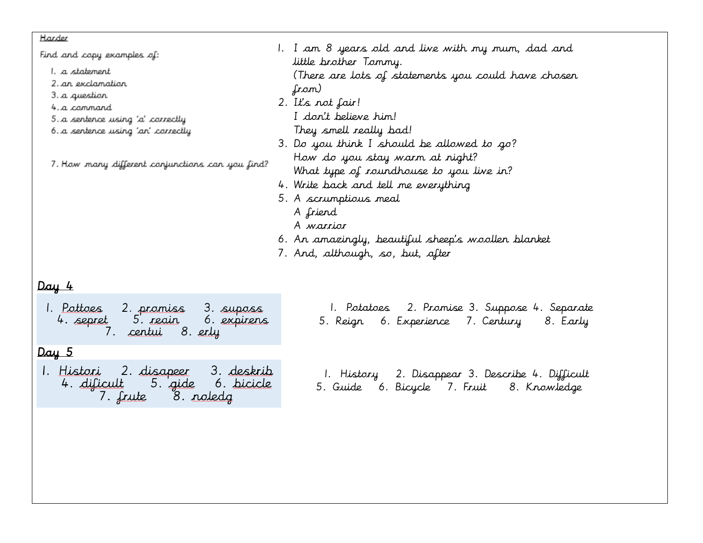## Harder

| Find and copy examples of:<br>1. a statement<br>2. an exclamation<br>3. a question<br>4.a cannard<br>5. a sentence using 'a' carrectly<br>6. a sentence using 'an' correctly | 1. I am 8 years old and live with my mum, dad and<br>little brother Tommy.<br>(There are lots of statements you could have chosen<br>from)<br>2. It's not fair!<br>I don't believe him!<br>They smell really bad!        |  |
|------------------------------------------------------------------------------------------------------------------------------------------------------------------------------|--------------------------------------------------------------------------------------------------------------------------------------------------------------------------------------------------------------------------|--|
| 7. Haw many different canjunctians can yau find?                                                                                                                             | 3. Do you think I should be allowed to go?<br>How do you stay warm at night?<br>What type of roundhouse to you live in?<br>4. Write back and tell me everything<br>5. A scrumptious meal<br>A friend<br>A <i>warrior</i> |  |
| <u>vay 4</u>                                                                                                                                                                 | 6. An amazingly, beautiful sheep's woollen blanket<br>7. And, although, so, but, after                                                                                                                                   |  |

1. <u>Pottoes</u> 2. promiss 3. suposs<br>4. sepret 5. reain 6. expirens<br>7. centui 8. erly

## $Day 5$

- 1. <u>Histori</u> 2. disapeer 3. deskrib<br>4. dificult 5. gide 6. bicicle 7. frute 8. roledg
- 1. Potatoes 2. Promise 3. Suppose 4. Separate 5. Reign 6. Experience 7. Century 8. Early
- 1. History 2. Disappear 3. Describe 4. Difficult
- 5. Guide 6. Bicycle 7. Fruit 8. Knowledge